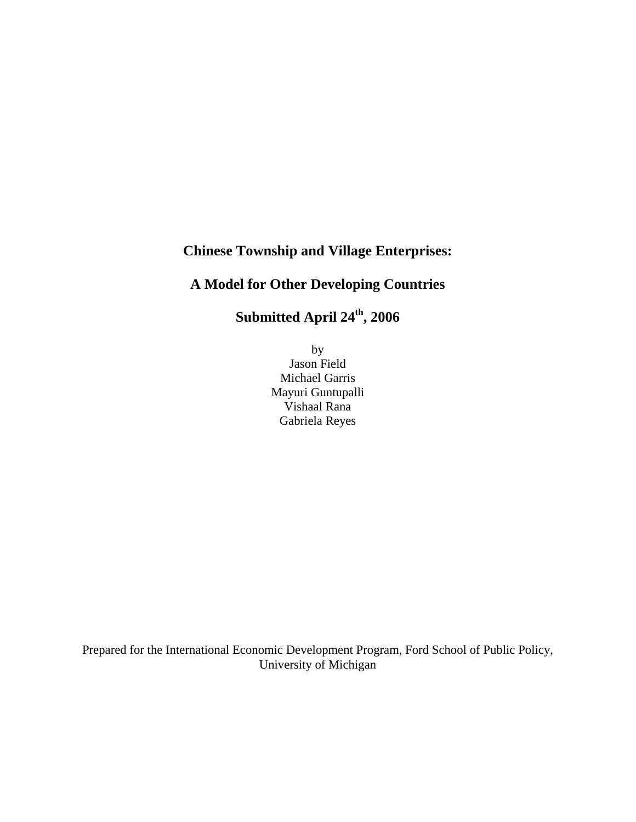## **Chinese Township and Village Enterprises:**

## **A Model for Other Developing Countries**

Submitted April 24<sup>th</sup>, 2006

by Jason Field Michael Garris Mayuri Guntupalli Vishaal Rana Gabriela Reyes

Prepared for the International Economic Development Program, Ford School of Public Policy, University of Michigan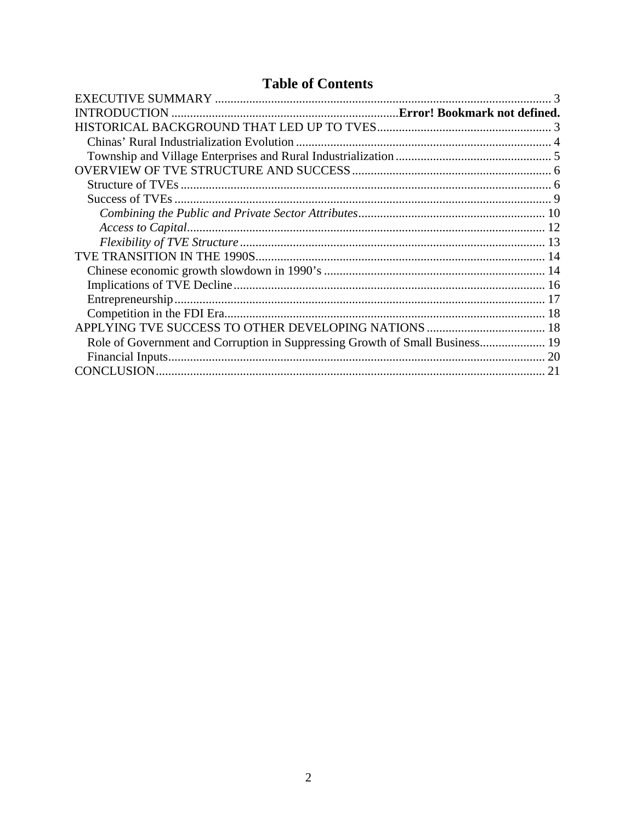# **Table of Contents**

| Role of Government and Corruption in Suppressing Growth of Small Business 19 |  |
|------------------------------------------------------------------------------|--|
|                                                                              |  |
|                                                                              |  |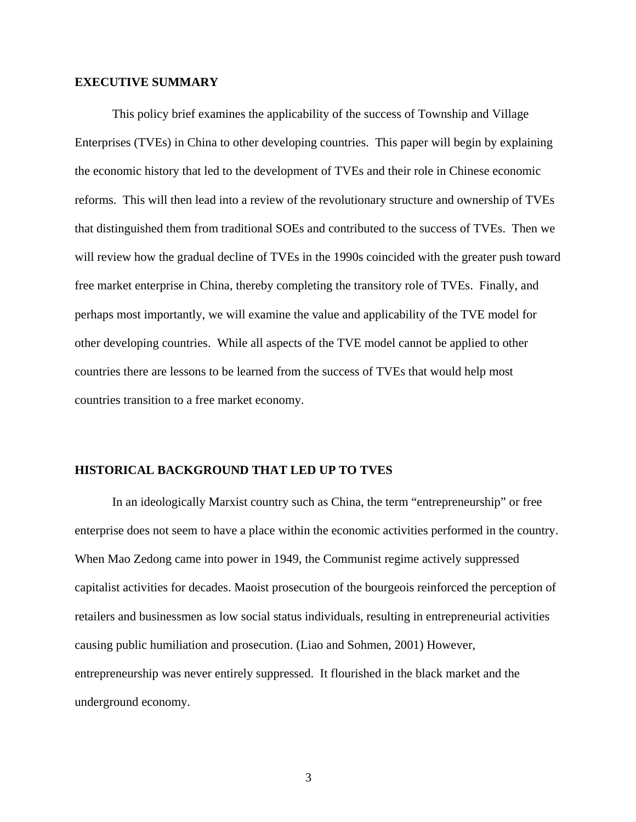## <span id="page-2-0"></span>**EXECUTIVE SUMMARY**

This policy brief examines the applicability of the success of Township and Village Enterprises (TVEs) in China to other developing countries. This paper will begin by explaining the economic history that led to the development of TVEs and their role in Chinese economic reforms. This will then lead into a review of the revolutionary structure and ownership of TVEs that distinguished them from traditional SOEs and contributed to the success of TVEs. Then we will review how the gradual decline of TVEs in the 1990s coincided with the greater push toward free market enterprise in China, thereby completing the transitory role of TVEs. Finally, and perhaps most importantly, we will examine the value and applicability of the TVE model for other developing countries. While all aspects of the TVE model cannot be applied to other countries there are lessons to be learned from the success of TVEs that would help most countries transition to a free market economy.

## **HISTORICAL BACKGROUND THAT LED UP TO TVES**

In an ideologically Marxist country such as China, the term "entrepreneurship" or free enterprise does not seem to have a place within the economic activities performed in the country. When Mao Zedong came into power in 1949, the Communist regime actively suppressed capitalist activities for decades. Maoist prosecution of the bourgeois reinforced the perception of retailers and businessmen as low social status individuals, resulting in entrepreneurial activities causing public humiliation and prosecution. (Liao and Sohmen, 2001) However, entrepreneurship was never entirely suppressed. It flourished in the black market and the underground economy.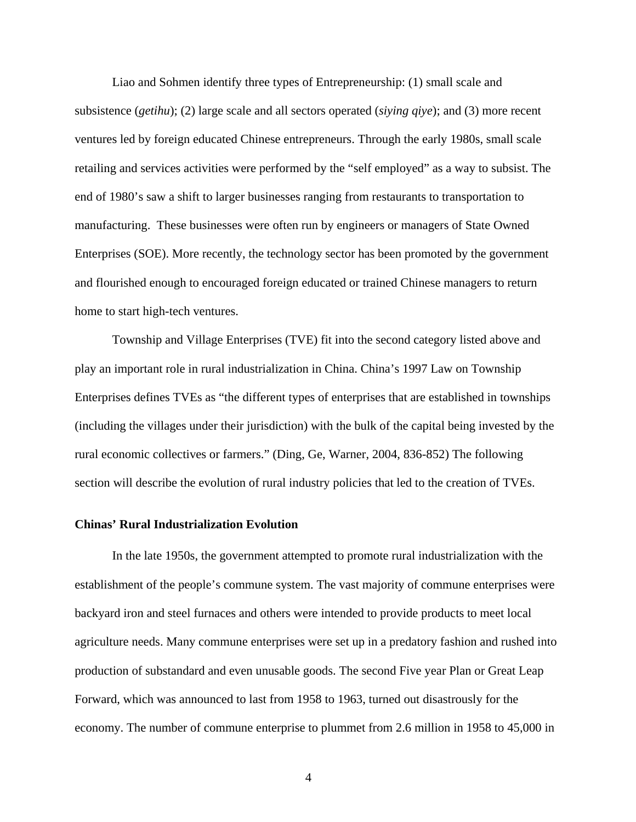<span id="page-3-0"></span>Liao and Sohmen identify three types of Entrepreneurship: (1) small scale and subsistence (*getihu*); (2) large scale and all sectors operated (*siying qiye*); and (3) more recent ventures led by foreign educated Chinese entrepreneurs. Through the early 1980s, small scale retailing and services activities were performed by the "self employed" as a way to subsist. The end of 1980's saw a shift to larger businesses ranging from restaurants to transportation to manufacturing. These businesses were often run by engineers or managers of State Owned Enterprises (SOE). More recently, the technology sector has been promoted by the government and flourished enough to encouraged foreign educated or trained Chinese managers to return home to start high-tech ventures.

Township and Village Enterprises (TVE) fit into the second category listed above and play an important role in rural industrialization in China. China's 1997 Law on Township Enterprises defines TVEs as "the different types of enterprises that are established in townships (including the villages under their jurisdiction) with the bulk of the capital being invested by the rural economic collectives or farmers." (Ding, Ge, Warner, 2004, 836-852) The following section will describe the evolution of rural industry policies that led to the creation of TVEs.

## **Chinas' Rural Industrialization Evolution**

In the late 1950s, the government attempted to promote rural industrialization with the establishment of the people's commune system. The vast majority of commune enterprises were backyard iron and steel furnaces and others were intended to provide products to meet local agriculture needs. Many commune enterprises were set up in a predatory fashion and rushed into production of substandard and even unusable goods. The second Five year Plan or Great Leap Forward, which was announced to last from 1958 to 1963, turned out disastrously for the economy. The number of commune enterprise to plummet from 2.6 million in 1958 to 45,000 in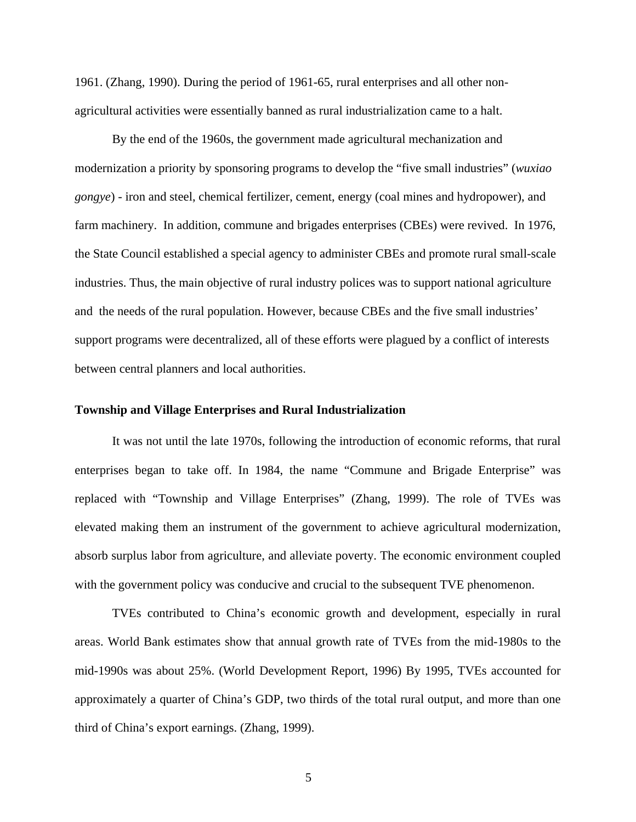<span id="page-4-0"></span>1961. (Zhang, 1990). During the period of 1961-65, rural enterprises and all other nonagricultural activities were essentially banned as rural industrialization came to a halt.

By the end of the 1960s, the government made agricultural mechanization and modernization a priority by sponsoring programs to develop the "five small industries" (*wuxiao gongye*) - iron and steel, chemical fertilizer, cement, energy (coal mines and hydropower), and farm machinery. In addition, commune and brigades enterprises (CBEs) were revived. In 1976, the State Council established a special agency to administer CBEs and promote rural small-scale industries. Thus, the main objective of rural industry polices was to support national agriculture and the needs of the rural population. However, because CBEs and the five small industries' support programs were decentralized, all of these efforts were plagued by a conflict of interests between central planners and local authorities.

#### **Township and Village Enterprises and Rural Industrialization**

It was not until the late 1970s, following the introduction of economic reforms, that rural enterprises began to take off. In 1984, the name "Commune and Brigade Enterprise" was replaced with "Township and Village Enterprises" (Zhang, 1999). The role of TVEs was elevated making them an instrument of the government to achieve agricultural modernization, absorb surplus labor from agriculture, and alleviate poverty. The economic environment coupled with the government policy was conducive and crucial to the subsequent TVE phenomenon.

TVEs contributed to China's economic growth and development, especially in rural areas. World Bank estimates show that annual growth rate of TVEs from the mid-1980s to the mid-1990s was about 25%. (World Development Report, 1996) By 1995, TVEs accounted for approximately a quarter of China's GDP, two thirds of the total rural output, and more than one third of China's export earnings. (Zhang, 1999).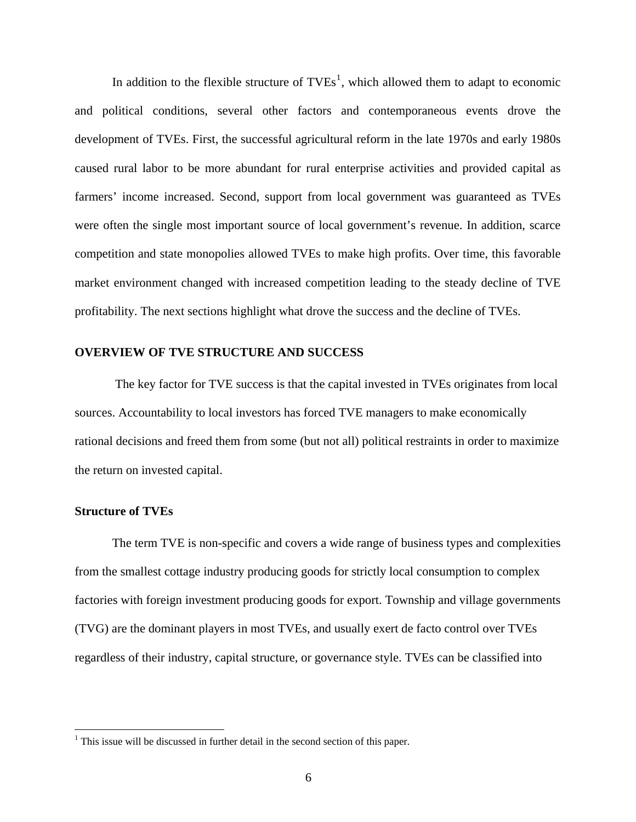<span id="page-5-0"></span>In addition to the flexible structure of  $TVEs<sup>1</sup>$  $TVEs<sup>1</sup>$  $TVEs<sup>1</sup>$ , which allowed them to adapt to economic and political conditions, several other factors and contemporaneous events drove the development of TVEs. First, the successful agricultural reform in the late 1970s and early 1980s caused rural labor to be more abundant for rural enterprise activities and provided capital as farmers' income increased. Second, support from local government was guaranteed as TVEs were often the single most important source of local government's revenue. In addition, scarce competition and state monopolies allowed TVEs to make high profits. Over time, this favorable market environment changed with increased competition leading to the steady decline of TVE profitability. The next sections highlight what drove the success and the decline of TVEs.

#### **OVERVIEW OF TVE STRUCTURE AND SUCCESS**

 The key factor for TVE success is that the capital invested in TVEs originates from local sources. Accountability to local investors has forced TVE managers to make economically rational decisions and freed them from some (but not all) political restraints in order to maximize the return on invested capital.

## **Structure of TVEs**

 $\overline{a}$ 

The term TVE is non-specific and covers a wide range of business types and complexities from the smallest cottage industry producing goods for strictly local consumption to complex factories with foreign investment producing goods for export. Township and village governments (TVG) are the dominant players in most TVEs, and usually exert de facto control over TVEs regardless of their industry, capital structure, or governance style. TVEs can be classified into

<span id="page-5-1"></span> $<sup>1</sup>$  This issue will be discussed in further detail in the second section of this paper.</sup>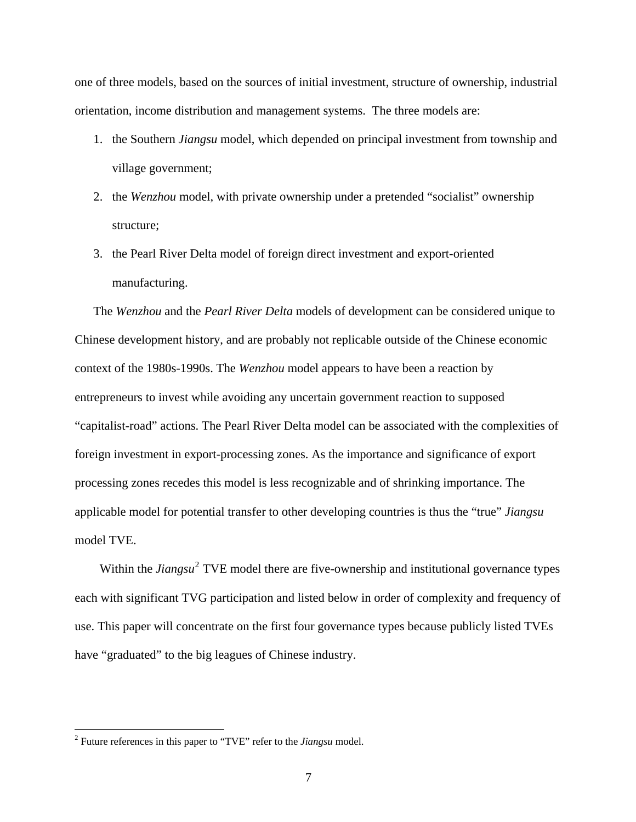one of three models, based on the sources of initial investment, structure of ownership, industrial orientation, income distribution and management systems. The three models are:

- 1. the Southern *Jiangsu* model, which depended on principal investment from township and village government;
- 2. the *Wenzhou* model, with private ownership under a pretended "socialist" ownership structure;
- 3. the Pearl River Delta model of foreign direct investment and export-oriented manufacturing.

The *Wenzhou* and the *Pearl River Delta* models of development can be considered unique to Chinese development history, and are probably not replicable outside of the Chinese economic context of the 1980s-1990s. The *Wenzhou* model appears to have been a reaction by entrepreneurs to invest while avoiding any uncertain government reaction to supposed "capitalist-road" actions. The Pearl River Delta model can be associated with the complexities of foreign investment in export-processing zones. As the importance and significance of export processing zones recedes this model is less recognizable and of shrinking importance. The applicable model for potential transfer to other developing countries is thus the "true" *Jiangsu* model TVE.

Within the *Jiangsu*<sup>[2](#page-6-0)</sup> TVE model there are five-ownership and institutional governance types each with significant TVG participation and listed below in order of complexity and frequency of use. This paper will concentrate on the first four governance types because publicly listed TVEs have "graduated" to the big leagues of Chinese industry.

 $\overline{a}$ 

<span id="page-6-0"></span><sup>2</sup> Future references in this paper to "TVE" refer to the *Jiangsu* model.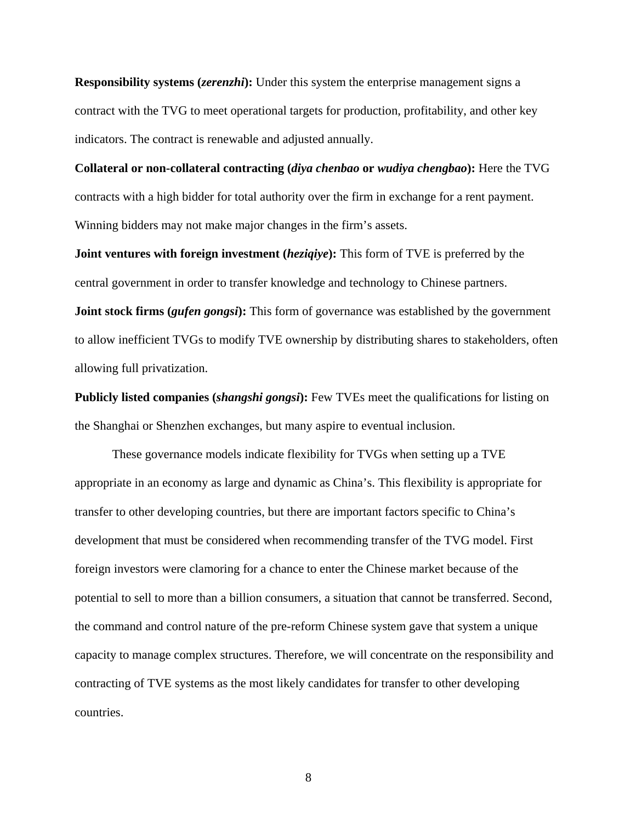**Responsibility systems (***zerenzhi*): Under this system the enterprise management signs a contract with the TVG to meet operational targets for production, profitability, and other key indicators. The contract is renewable and adjusted annually.

**Collateral or non-collateral contracting (***diya chenbao* **or** *wudiya chengbao***):** Here the TVG contracts with a high bidder for total authority over the firm in exchange for a rent payment. Winning bidders may not make major changes in the firm's assets.

**Joint ventures with foreign investment (***heziqiye***):** This form of TVE is preferred by the central government in order to transfer knowledge and technology to Chinese partners.

**Joint stock firms (***gufen gongsi***):** This form of governance was established by the government to allow inefficient TVGs to modify TVE ownership by distributing shares to stakeholders, often allowing full privatization.

**Publicly listed companies (***shangshi gongsi***):** Few TVEs meet the qualifications for listing on the Shanghai or Shenzhen exchanges, but many aspire to eventual inclusion.

 These governance models indicate flexibility for TVGs when setting up a TVE appropriate in an economy as large and dynamic as China's. This flexibility is appropriate for transfer to other developing countries, but there are important factors specific to China's development that must be considered when recommending transfer of the TVG model. First foreign investors were clamoring for a chance to enter the Chinese market because of the potential to sell to more than a billion consumers, a situation that cannot be transferred. Second, the command and control nature of the pre-reform Chinese system gave that system a unique capacity to manage complex structures. Therefore, we will concentrate on the responsibility and contracting of TVE systems as the most likely candidates for transfer to other developing countries.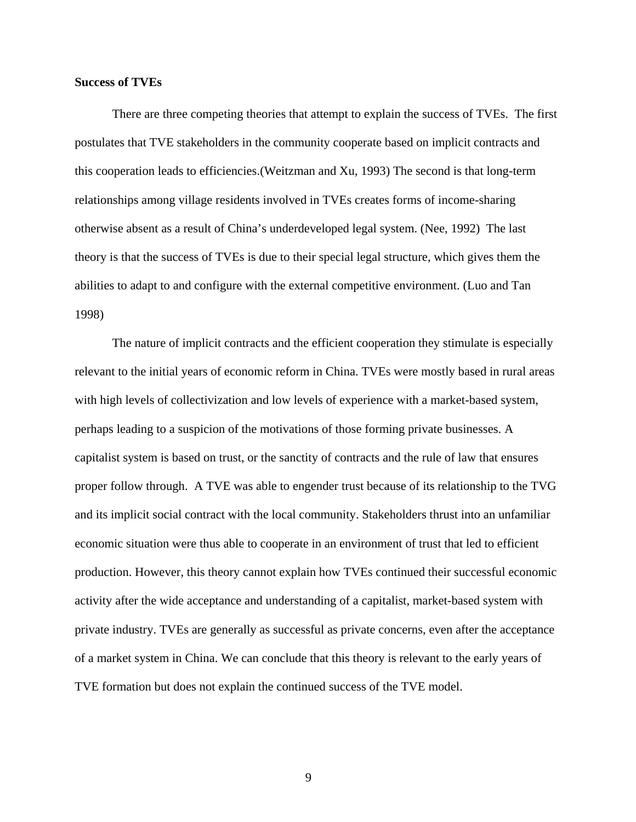### <span id="page-8-0"></span>**Success of TVEs**

 There are three competing theories that attempt to explain the success of TVEs. The first postulates that TVE stakeholders in the community cooperate based on implicit contracts and this cooperation leads to efficiencies.(Weitzman and Xu, 1993) The second is that long-term relationships among village residents involved in TVEs creates forms of income-sharing otherwise absent as a result of China's underdeveloped legal system. (Nee, 1992) The last theory is that the success of TVEs is due to their special legal structure, which gives them the abilities to adapt to and configure with the external competitive environment. (Luo and Tan 1998)

 The nature of implicit contracts and the efficient cooperation they stimulate is especially relevant to the initial years of economic reform in China. TVEs were mostly based in rural areas with high levels of collectivization and low levels of experience with a market-based system, perhaps leading to a suspicion of the motivations of those forming private businesses. A capitalist system is based on trust, or the sanctity of contracts and the rule of law that ensures proper follow through. A TVE was able to engender trust because of its relationship to the TVG and its implicit social contract with the local community. Stakeholders thrust into an unfamiliar economic situation were thus able to cooperate in an environment of trust that led to efficient production. However, this theory cannot explain how TVEs continued their successful economic activity after the wide acceptance and understanding of a capitalist, market-based system with private industry. TVEs are generally as successful as private concerns, even after the acceptance of a market system in China. We can conclude that this theory is relevant to the early years of TVE formation but does not explain the continued success of the TVE model.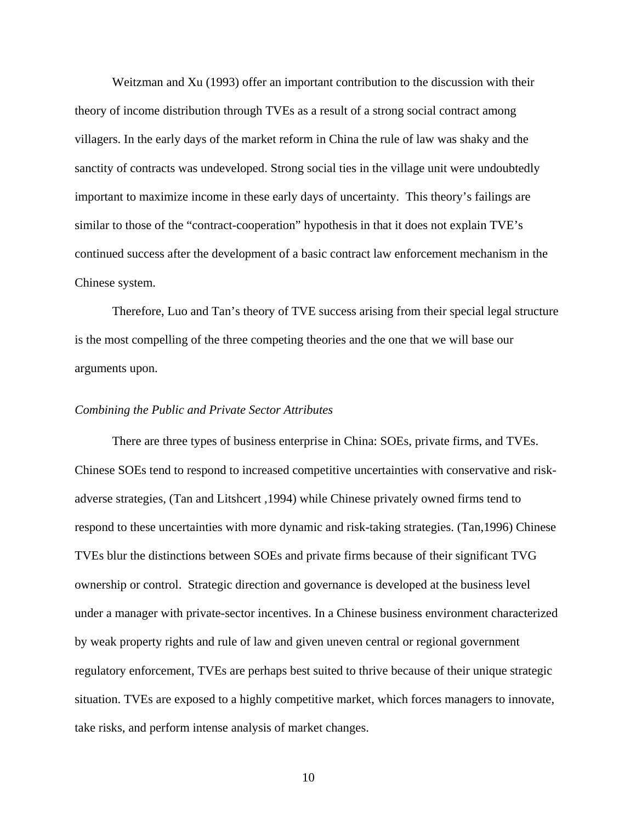<span id="page-9-0"></span> Weitzman and Xu (1993) offer an important contribution to the discussion with their theory of income distribution through TVEs as a result of a strong social contract among villagers. In the early days of the market reform in China the rule of law was shaky and the sanctity of contracts was undeveloped. Strong social ties in the village unit were undoubtedly important to maximize income in these early days of uncertainty. This theory's failings are similar to those of the "contract-cooperation" hypothesis in that it does not explain TVE's continued success after the development of a basic contract law enforcement mechanism in the Chinese system.

Therefore, Luo and Tan's theory of TVE success arising from their special legal structure is the most compelling of the three competing theories and the one that we will base our arguments upon.

## *Combining the Public and Private Sector Attributes*

 There are three types of business enterprise in China: SOEs, private firms, and TVEs. Chinese SOEs tend to respond to increased competitive uncertainties with conservative and riskadverse strategies, (Tan and Litshcert ,1994) while Chinese privately owned firms tend to respond to these uncertainties with more dynamic and risk-taking strategies. (Tan,1996) Chinese TVEs blur the distinctions between SOEs and private firms because of their significant TVG ownership or control. Strategic direction and governance is developed at the business level under a manager with private-sector incentives. In a Chinese business environment characterized by weak property rights and rule of law and given uneven central or regional government regulatory enforcement, TVEs are perhaps best suited to thrive because of their unique strategic situation. TVEs are exposed to a highly competitive market, which forces managers to innovate, take risks, and perform intense analysis of market changes.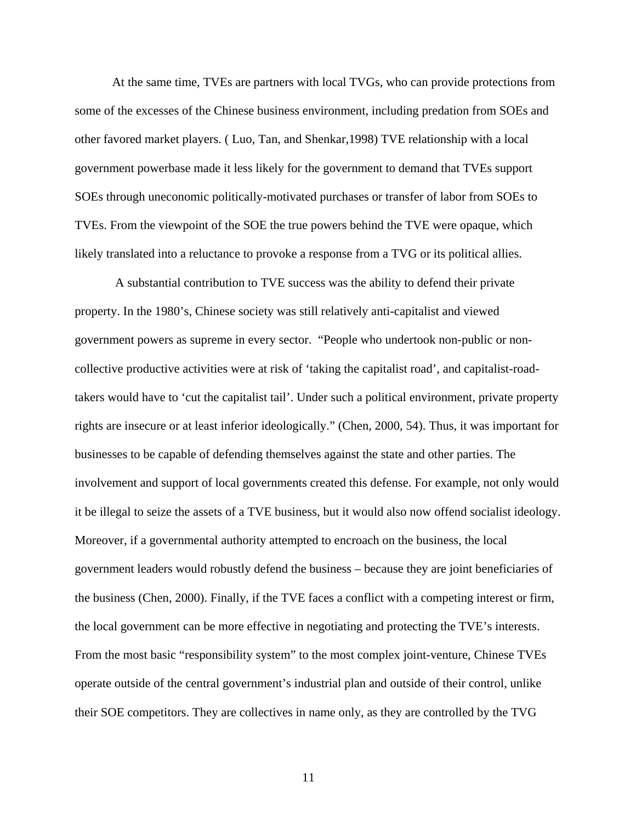At the same time, TVEs are partners with local TVGs, who can provide protections from some of the excesses of the Chinese business environment, including predation from SOEs and other favored market players. ( Luo, Tan, and Shenkar,1998) TVE relationship with a local government powerbase made it less likely for the government to demand that TVEs support SOEs through uneconomic politically-motivated purchases or transfer of labor from SOEs to TVEs. From the viewpoint of the SOE the true powers behind the TVE were opaque, which likely translated into a reluctance to provoke a response from a TVG or its political allies.

 A substantial contribution to TVE success was the ability to defend their private property. In the 1980's, Chinese society was still relatively anti-capitalist and viewed government powers as supreme in every sector. "People who undertook non-public or noncollective productive activities were at risk of 'taking the capitalist road', and capitalist-roadtakers would have to 'cut the capitalist tail'. Under such a political environment, private property rights are insecure or at least inferior ideologically." (Chen, 2000, 54). Thus, it was important for businesses to be capable of defending themselves against the state and other parties. The involvement and support of local governments created this defense. For example, not only would it be illegal to seize the assets of a TVE business, but it would also now offend socialist ideology. Moreover, if a governmental authority attempted to encroach on the business, the local government leaders would robustly defend the business – because they are joint beneficiaries of the business (Chen, 2000). Finally, if the TVE faces a conflict with a competing interest or firm, the local government can be more effective in negotiating and protecting the TVE's interests. From the most basic "responsibility system" to the most complex joint-venture, Chinese TVEs operate outside of the central government's industrial plan and outside of their control, unlike their SOE competitors. They are collectives in name only, as they are controlled by the TVG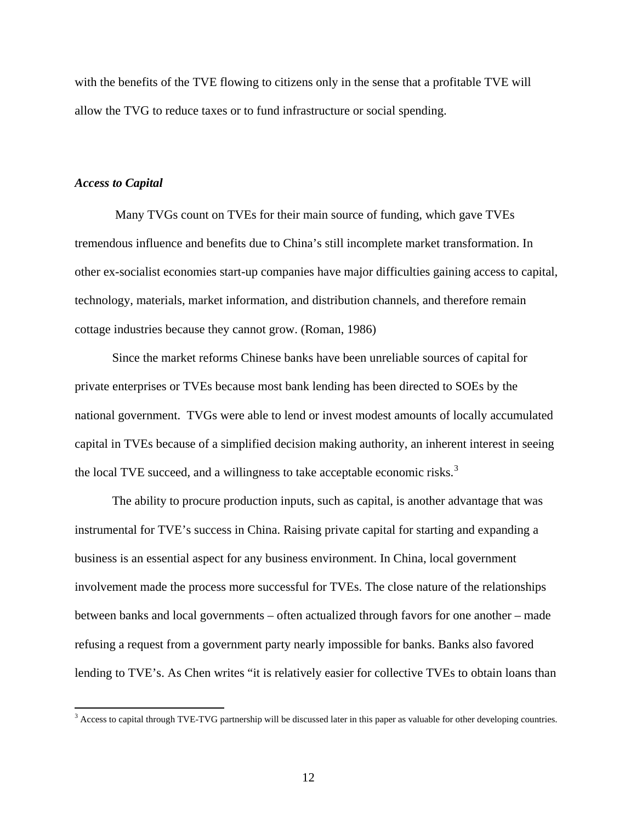<span id="page-11-0"></span>with the benefits of the TVE flowing to citizens only in the sense that a profitable TVE will allow the TVG to reduce taxes or to fund infrastructure or social spending.

### *Access to Capital*

 $\overline{a}$ 

 Many TVGs count on TVEs for their main source of funding, which gave TVEs tremendous influence and benefits due to China's still incomplete market transformation. In other ex-socialist economies start-up companies have major difficulties gaining access to capital, technology, materials, market information, and distribution channels, and therefore remain cottage industries because they cannot grow. (Roman, 1986)

Since the market reforms Chinese banks have been unreliable sources of capital for private enterprises or TVEs because most bank lending has been directed to SOEs by the national government. TVGs were able to lend or invest modest amounts of locally accumulated capital in TVEs because of a simplified decision making authority, an inherent interest in seeing the local TVE succeed, and a willingness to take acceptable economic risks.<sup>[3](#page-11-1)</sup>

The ability to procure production inputs, such as capital, is another advantage that was instrumental for TVE's success in China. Raising private capital for starting and expanding a business is an essential aspect for any business environment. In China, local government involvement made the process more successful for TVEs. The close nature of the relationships between banks and local governments – often actualized through favors for one another – made refusing a request from a government party nearly impossible for banks. Banks also favored lending to TVE's. As Chen writes "it is relatively easier for collective TVEs to obtain loans than

<span id="page-11-1"></span><sup>&</sup>lt;sup>3</sup> Access to capital through TVE-TVG partnership will be discussed later in this paper as valuable for other developing countries.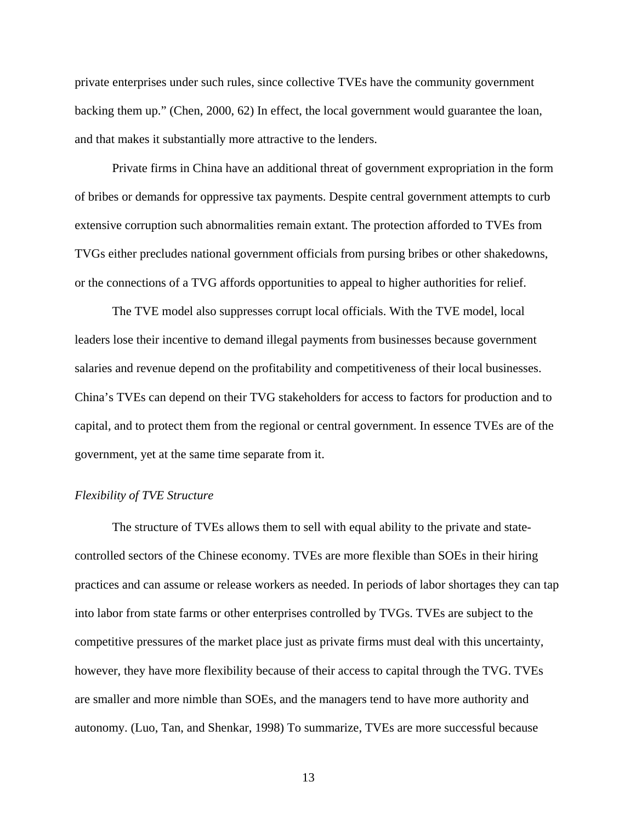<span id="page-12-0"></span>private enterprises under such rules, since collective TVEs have the community government backing them up." (Chen, 2000, 62) In effect, the local government would guarantee the loan, and that makes it substantially more attractive to the lenders.

Private firms in China have an additional threat of government expropriation in the form of bribes or demands for oppressive tax payments. Despite central government attempts to curb extensive corruption such abnormalities remain extant. The protection afforded to TVEs from TVGs either precludes national government officials from pursing bribes or other shakedowns, or the connections of a TVG affords opportunities to appeal to higher authorities for relief.

The TVE model also suppresses corrupt local officials. With the TVE model, local leaders lose their incentive to demand illegal payments from businesses because government salaries and revenue depend on the profitability and competitiveness of their local businesses. China's TVEs can depend on their TVG stakeholders for access to factors for production and to capital, and to protect them from the regional or central government. In essence TVEs are of the government, yet at the same time separate from it.

## *Flexibility of TVE Structure*

The structure of TVEs allows them to sell with equal ability to the private and statecontrolled sectors of the Chinese economy. TVEs are more flexible than SOEs in their hiring practices and can assume or release workers as needed. In periods of labor shortages they can tap into labor from state farms or other enterprises controlled by TVGs. TVEs are subject to the competitive pressures of the market place just as private firms must deal with this uncertainty, however, they have more flexibility because of their access to capital through the TVG. TVEs are smaller and more nimble than SOEs, and the managers tend to have more authority and autonomy. (Luo, Tan, and Shenkar, 1998) To summarize, TVEs are more successful because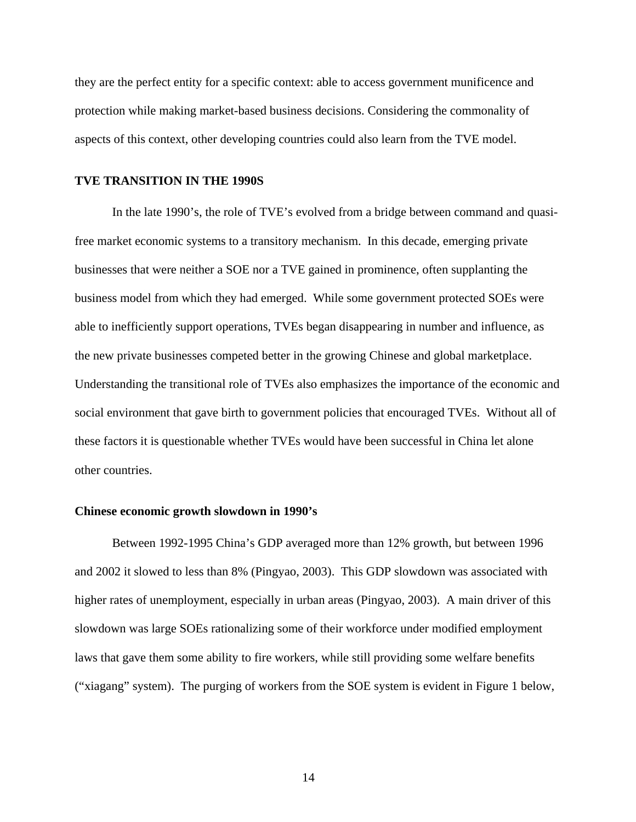<span id="page-13-0"></span>they are the perfect entity for a specific context: able to access government munificence and protection while making market-based business decisions. Considering the commonality of aspects of this context, other developing countries could also learn from the TVE model.

## **TVE TRANSITION IN THE 1990S**

In the late 1990's, the role of TVE's evolved from a bridge between command and quasifree market economic systems to a transitory mechanism. In this decade, emerging private businesses that were neither a SOE nor a TVE gained in prominence, often supplanting the business model from which they had emerged. While some government protected SOEs were able to inefficiently support operations, TVEs began disappearing in number and influence, as the new private businesses competed better in the growing Chinese and global marketplace. Understanding the transitional role of TVEs also emphasizes the importance of the economic and social environment that gave birth to government policies that encouraged TVEs. Without all of these factors it is questionable whether TVEs would have been successful in China let alone other countries.

#### **Chinese economic growth slowdown in 1990's**

Between 1992-1995 China's GDP averaged more than 12% growth, but between 1996 and 2002 it slowed to less than 8% (Pingyao, 2003). This GDP slowdown was associated with higher rates of unemployment, especially in urban areas (Pingyao, 2003). A main driver of this slowdown was large SOEs rationalizing some of their workforce under modified employment laws that gave them some ability to fire workers, while still providing some welfare benefits ("xiagang" system). The purging of workers from the SOE system is evident in Figure 1 below,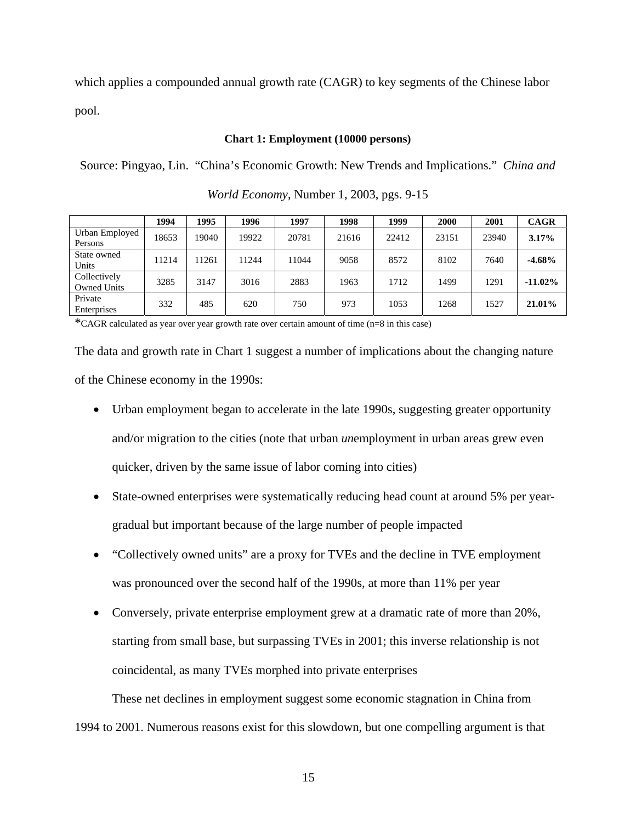which applies a compounded annual growth rate (CAGR) to key segments of the Chinese labor pool.

## **Chart 1: Employment (10000 persons)**

Source: Pingyao, Lin. "China's Economic Growth: New Trends and Implications." *China and* 

|                                    | 1994  | 1995  | 1996  | 1997  | 1998  | 1999  | 2000  | 2001  | <b>CAGR</b> |
|------------------------------------|-------|-------|-------|-------|-------|-------|-------|-------|-------------|
| Urban Employed<br>Persons          | 18653 | 19040 | 19922 | 20781 | 21616 | 22412 | 23151 | 23940 | 3.17%       |
| State owned<br>Units               | 11214 | 11261 | 11244 | 11044 | 9058  | 8572  | 8102  | 7640  | $-4.68%$    |
| Collectively<br><b>Owned Units</b> | 3285  | 3147  | 3016  | 2883  | 1963  | 1712  | 1499  | 1291  | $-11.02\%$  |
| Private<br>Enterprises             | 332   | 485   | 620   | 750   | 973   | 1053  | 1268  | 1527  | 21.01%      |

*World Economy*, Number 1, 2003, pgs. 9-15

\*CAGR calculated as year over year growth rate over certain amount of time (n=8 in this case)

The data and growth rate in Chart 1 suggest a number of implications about the changing nature of the Chinese economy in the 1990s:

- Urban employment began to accelerate in the late 1990s, suggesting greater opportunity and/or migration to the cities (note that urban *un*employment in urban areas grew even quicker, driven by the same issue of labor coming into cities)
- State-owned enterprises were systematically reducing head count at around 5% per yeargradual but important because of the large number of people impacted
- "Collectively owned units" are a proxy for TVEs and the decline in TVE employment was pronounced over the second half of the 1990s, at more than 11% per year
- Conversely, private enterprise employment grew at a dramatic rate of more than 20%, starting from small base, but surpassing TVEs in 2001; this inverse relationship is not coincidental, as many TVEs morphed into private enterprises

These net declines in employment suggest some economic stagnation in China from 1994 to 2001. Numerous reasons exist for this slowdown, but one compelling argument is that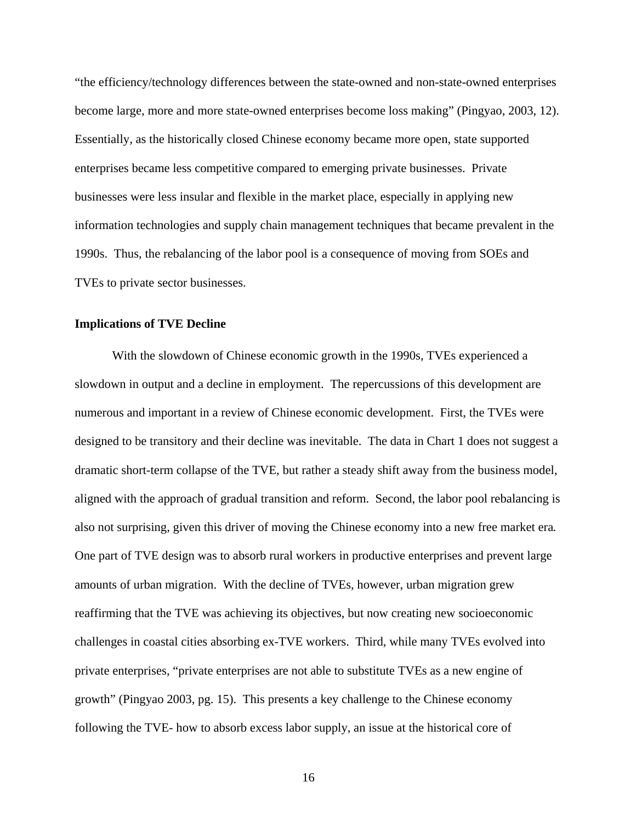<span id="page-15-0"></span>"the efficiency/technology differences between the state-owned and non-state-owned enterprises become large, more and more state-owned enterprises become loss making" (Pingyao, 2003, 12). Essentially, as the historically closed Chinese economy became more open, state supported enterprises became less competitive compared to emerging private businesses. Private businesses were less insular and flexible in the market place, especially in applying new information technologies and supply chain management techniques that became prevalent in the 1990s. Thus, the rebalancing of the labor pool is a consequence of moving from SOEs and TVEs to private sector businesses.

#### **Implications of TVE Decline**

With the slowdown of Chinese economic growth in the 1990s, TVEs experienced a slowdown in output and a decline in employment. The repercussions of this development are numerous and important in a review of Chinese economic development. First, the TVEs were designed to be transitory and their decline was inevitable. The data in Chart 1 does not suggest a dramatic short-term collapse of the TVE, but rather a steady shift away from the business model, aligned with the approach of gradual transition and reform. Second, the labor pool rebalancing is also not surprising, given this driver of moving the Chinese economy into a new free market era*.* One part of TVE design was to absorb rural workers in productive enterprises and prevent large amounts of urban migration. With the decline of TVEs, however, urban migration grew reaffirming that the TVE was achieving its objectives, but now creating new socioeconomic challenges in coastal cities absorbing ex-TVE workers. Third, while many TVEs evolved into private enterprises, "private enterprises are not able to substitute TVEs as a new engine of growth" (Pingyao 2003, pg. 15). This presents a key challenge to the Chinese economy following the TVE- how to absorb excess labor supply, an issue at the historical core of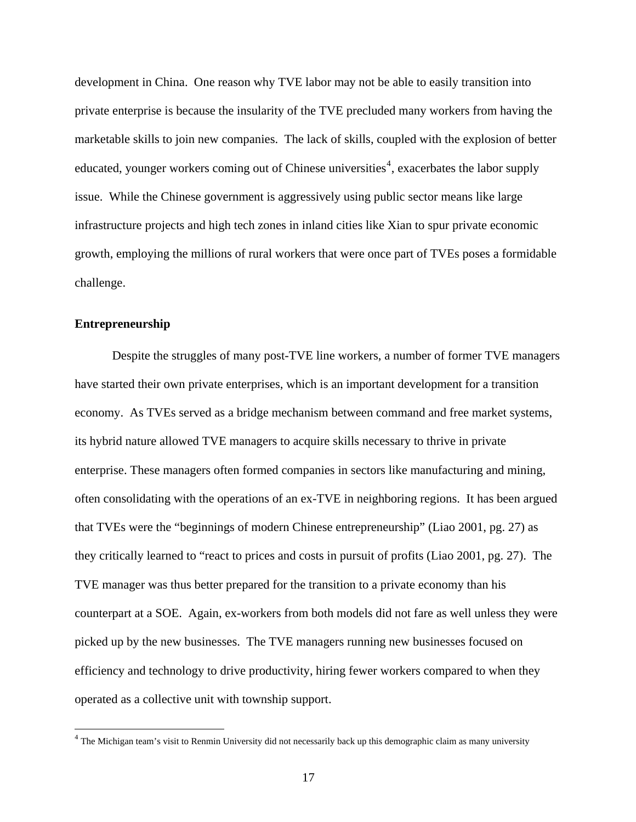<span id="page-16-0"></span>development in China. One reason why TVE labor may not be able to easily transition into private enterprise is because the insularity of the TVE precluded many workers from having the marketable skills to join new companies. The lack of skills, coupled with the explosion of better educated, younger workers coming out of Chinese universities<sup>[4](#page-16-1)</sup>, exacerbates the labor supply issue. While the Chinese government is aggressively using public sector means like large infrastructure projects and high tech zones in inland cities like Xian to spur private economic growth, employing the millions of rural workers that were once part of TVEs poses a formidable challenge.

#### **Entrepreneurship**

 $\overline{a}$ 

Despite the struggles of many post-TVE line workers, a number of former TVE managers have started their own private enterprises, which is an important development for a transition economy. As TVEs served as a bridge mechanism between command and free market systems, its hybrid nature allowed TVE managers to acquire skills necessary to thrive in private enterprise. These managers often formed companies in sectors like manufacturing and mining, often consolidating with the operations of an ex-TVE in neighboring regions. It has been argued that TVEs were the "beginnings of modern Chinese entrepreneurship" (Liao 2001, pg. 27) as they critically learned to "react to prices and costs in pursuit of profits (Liao 2001, pg. 27). The TVE manager was thus better prepared for the transition to a private economy than his counterpart at a SOE. Again, ex-workers from both models did not fare as well unless they were picked up by the new businesses. The TVE managers running new businesses focused on efficiency and technology to drive productivity, hiring fewer workers compared to when they operated as a collective unit with township support.

<span id="page-16-1"></span><sup>&</sup>lt;sup>4</sup> The Michigan team's visit to Renmin University did not necessarily back up this demographic claim as many university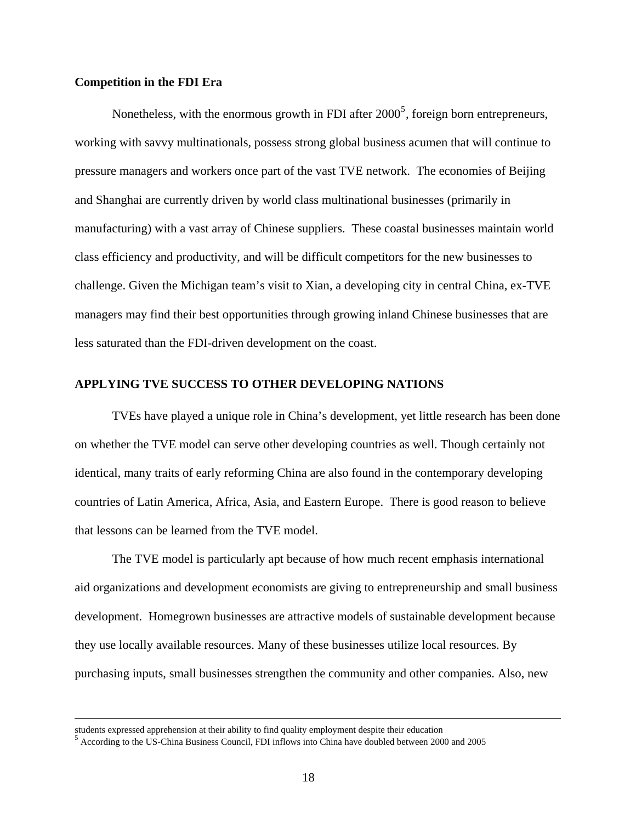## <span id="page-17-0"></span>**Competition in the FDI Era**

Nonetheless, with the enormous growth in FDI after  $2000^5$  $2000^5$ , foreign born entrepreneurs, working with savvy multinationals, possess strong global business acumen that will continue to pressure managers and workers once part of the vast TVE network. The economies of Beijing and Shanghai are currently driven by world class multinational businesses (primarily in manufacturing) with a vast array of Chinese suppliers. These coastal businesses maintain world class efficiency and productivity, and will be difficult competitors for the new businesses to challenge. Given the Michigan team's visit to Xian, a developing city in central China, ex-TVE managers may find their best opportunities through growing inland Chinese businesses that are less saturated than the FDI-driven development on the coast.

## **APPLYING TVE SUCCESS TO OTHER DEVELOPING NATIONS**

TVEs have played a unique role in China's development, yet little research has been done on whether the TVE model can serve other developing countries as well. Though certainly not identical, many traits of early reforming China are also found in the contemporary developing countries of Latin America, Africa, Asia, and Eastern Europe. There is good reason to believe that lessons can be learned from the TVE model.

The TVE model is particularly apt because of how much recent emphasis international aid organizations and development economists are giving to entrepreneurship and small business development. Homegrown businesses are attractive models of sustainable development because they use locally available resources. Many of these businesses utilize local resources. By purchasing inputs, small businesses strengthen the community and other companies. Also, new

students expressed apprehension at their ability to find quality employment despite their education <sup>5</sup>

<span id="page-17-1"></span><sup>&</sup>lt;sup>5</sup> According to the US-China Business Council, FDI inflows into China have doubled between 2000 and 2005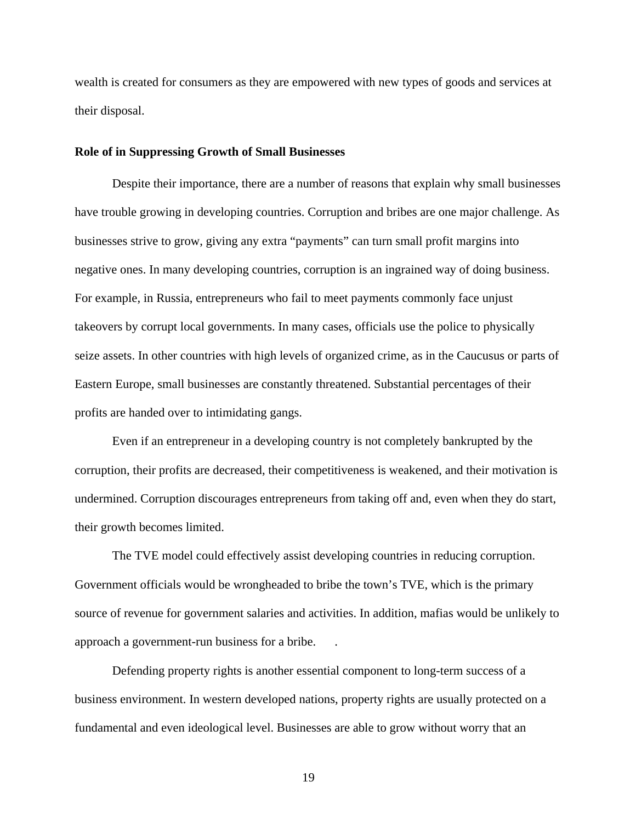<span id="page-18-0"></span>wealth is created for consumers as they are empowered with new types of goods and services at their disposal.

#### **Role of in Suppressing Growth of Small Businesses**

Despite their importance, there are a number of reasons that explain why small businesses have trouble growing in developing countries. Corruption and bribes are one major challenge. As businesses strive to grow, giving any extra "payments" can turn small profit margins into negative ones. In many developing countries, corruption is an ingrained way of doing business. For example, in Russia, entrepreneurs who fail to meet payments commonly face unjust takeovers by corrupt local governments. In many cases, officials use the police to physically seize assets. In other countries with high levels of organized crime, as in the Caucusus or parts of Eastern Europe, small businesses are constantly threatened. Substantial percentages of their profits are handed over to intimidating gangs.

Even if an entrepreneur in a developing country is not completely bankrupted by the corruption, their profits are decreased, their competitiveness is weakened, and their motivation is undermined. Corruption discourages entrepreneurs from taking off and, even when they do start, their growth becomes limited.

The TVE model could effectively assist developing countries in reducing corruption. Government officials would be wrongheaded to bribe the town's TVE, which is the primary source of revenue for government salaries and activities. In addition, mafias would be unlikely to approach a government-run business for a bribe. .

Defending property rights is another essential component to long-term success of a business environment. In western developed nations, property rights are usually protected on a fundamental and even ideological level. Businesses are able to grow without worry that an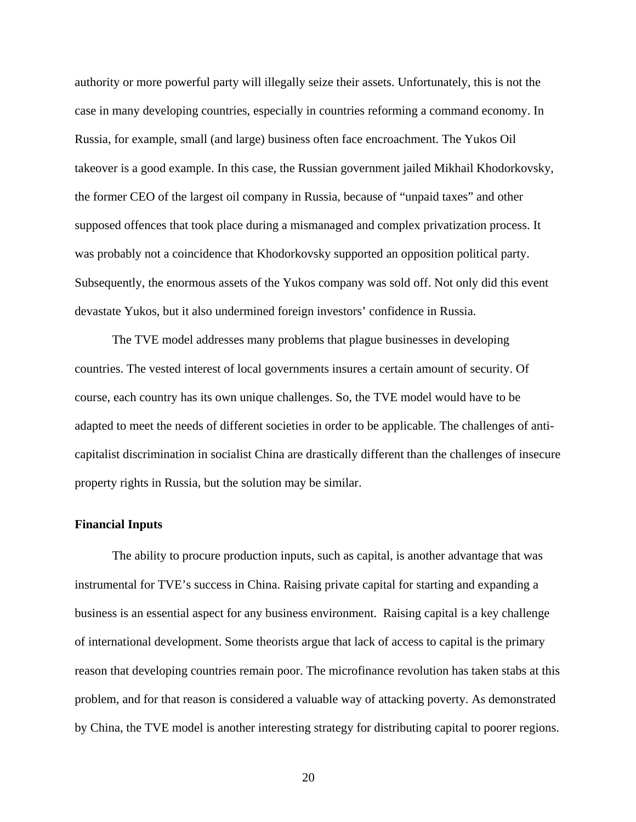<span id="page-19-0"></span>authority or more powerful party will illegally seize their assets. Unfortunately, this is not the case in many developing countries, especially in countries reforming a command economy. In Russia, for example, small (and large) business often face encroachment. The Yukos Oil takeover is a good example. In this case, the Russian government jailed Mikhail Khodorkovsky, the former CEO of the largest oil company in Russia, because of "unpaid taxes" and other supposed offences that took place during a mismanaged and complex privatization process. It was probably not a coincidence that Khodorkovsky supported an opposition political party. Subsequently, the enormous assets of the Yukos company was sold off. Not only did this event devastate Yukos, but it also undermined foreign investors' confidence in Russia.

The TVE model addresses many problems that plague businesses in developing countries. The vested interest of local governments insures a certain amount of security. Of course, each country has its own unique challenges. So, the TVE model would have to be adapted to meet the needs of different societies in order to be applicable. The challenges of anticapitalist discrimination in socialist China are drastically different than the challenges of insecure property rights in Russia, but the solution may be similar.

## **Financial Inputs**

The ability to procure production inputs, such as capital, is another advantage that was instrumental for TVE's success in China. Raising private capital for starting and expanding a business is an essential aspect for any business environment. Raising capital is a key challenge of international development. Some theorists argue that lack of access to capital is the primary reason that developing countries remain poor. The microfinance revolution has taken stabs at this problem, and for that reason is considered a valuable way of attacking poverty. As demonstrated by China, the TVE model is another interesting strategy for distributing capital to poorer regions.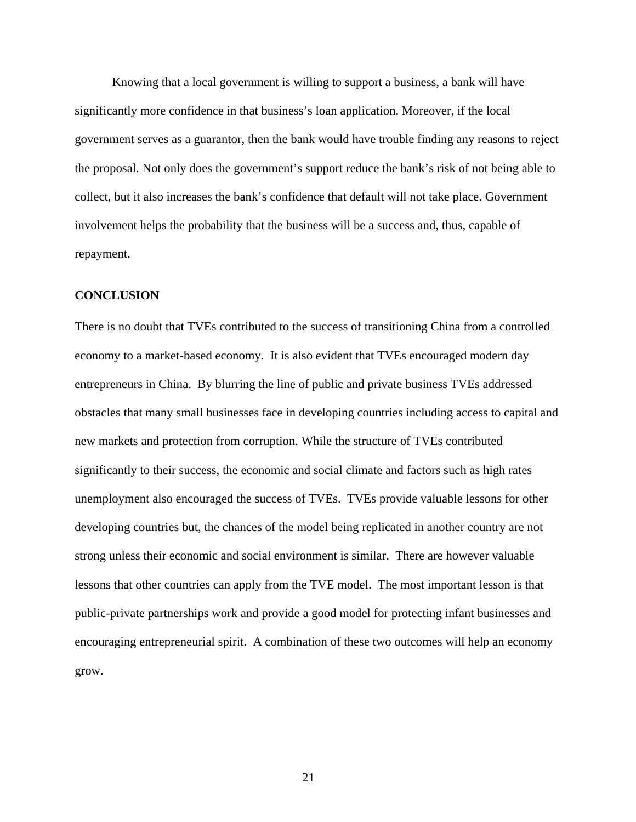<span id="page-20-0"></span>Knowing that a local government is willing to support a business, a bank will have significantly more confidence in that business's loan application. Moreover, if the local government serves as a guarantor, then the bank would have trouble finding any reasons to reject the proposal. Not only does the government's support reduce the bank's risk of not being able to collect, but it also increases the bank's confidence that default will not take place. Government involvement helps the probability that the business will be a success and, thus, capable of repayment.

### **CONCLUSION**

There is no doubt that TVEs contributed to the success of transitioning China from a controlled economy to a market-based economy. It is also evident that TVEs encouraged modern day entrepreneurs in China. By blurring the line of public and private business TVEs addressed obstacles that many small businesses face in developing countries including access to capital and new markets and protection from corruption. While the structure of TVEs contributed significantly to their success, the economic and social climate and factors such as high rates unemployment also encouraged the success of TVEs. TVEs provide valuable lessons for other developing countries but, the chances of the model being replicated in another country are not strong unless their economic and social environment is similar. There are however valuable lessons that other countries can apply from the TVE model. The most important lesson is that public-private partnerships work and provide a good model for protecting infant businesses and encouraging entrepreneurial spirit. A combination of these two outcomes will help an economy grow.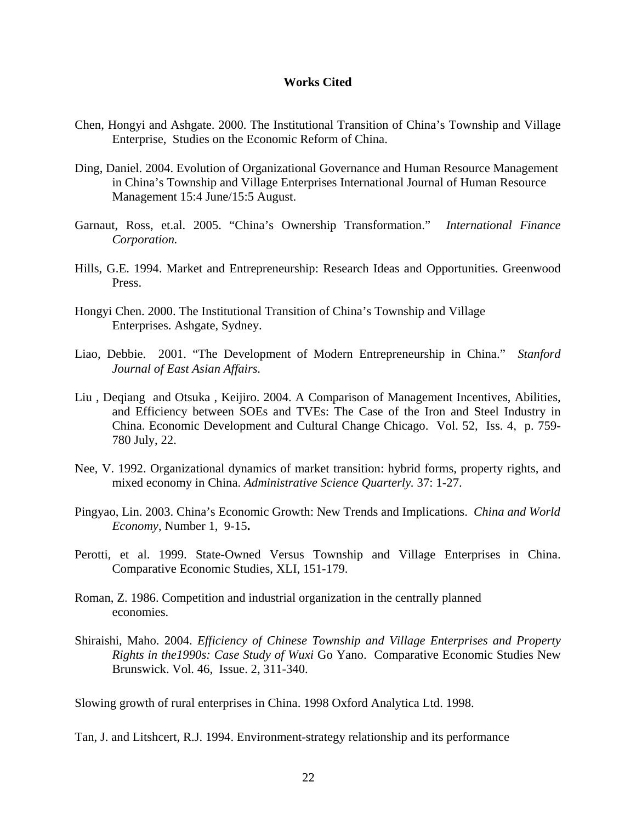## **Works Cited**

- Chen, Hongyi and Ashgate. 2000. The Institutional Transition of China's Township and Village Enterprise, Studies on the Economic Reform of China.
- Ding, Daniel. 2004. Evolution of Organizational Governance and Human Resource Management in China's Township and Village Enterprises International Journal of Human Resource Management 15:4 June/15:5 August.
- Garnaut, Ross, et.al. 2005. "China's Ownership Transformation." *International Finance Corporation.*
- Hills, G.E. 1994. Market and Entrepreneurship: Research Ideas and Opportunities. Greenwood Press.
- Hongyi Chen. 2000. The Institutional Transition of China's Township and Village Enterprises. Ashgate, Sydney.
- Liao, Debbie. 2001. "The Development of Modern Entrepreneurship in China." *Stanford Journal of East Asian Affairs.*
- Liu , Deqiang and Otsuka , Keijiro. 2004. A Comparison of Management Incentives, Abilities, and Efficiency between SOEs and TVEs: The Case of the Iron and Steel Industry in China. Economic Development and Cultural Change Chicago. Vol. 52, Iss. 4, p. 759- 780 July, 22.
- Nee, V. 1992. Organizational dynamics of market transition: hybrid forms, property rights, and mixed economy in China. *Administrative Science Quarterly.* 37: 1-27.
- Pingyao, Lin. 2003. China's Economic Growth: New Trends and Implications. *China and World Economy*, Number 1, 9-15**.**
- Perotti, et al. 1999. State-Owned Versus Township and Village Enterprises in China. Comparative Economic Studies, XLI, 151-179.
- Roman, Z. 1986. Competition and industrial organization in the centrally planned economies.
- Shiraishi, Maho. 2004. *Efficiency of Chinese Township and Village Enterprises and Property Rights in the1990s: Case Study of Wuxi* Go Yano. Comparative Economic Studies New Brunswick. Vol. 46, Issue. 2, 311-340.

Slowing growth of rural enterprises in China. 1998 Oxford Analytica Ltd. 1998.

Tan, J. and Litshcert, R.J. 1994. Environment-strategy relationship and its performance